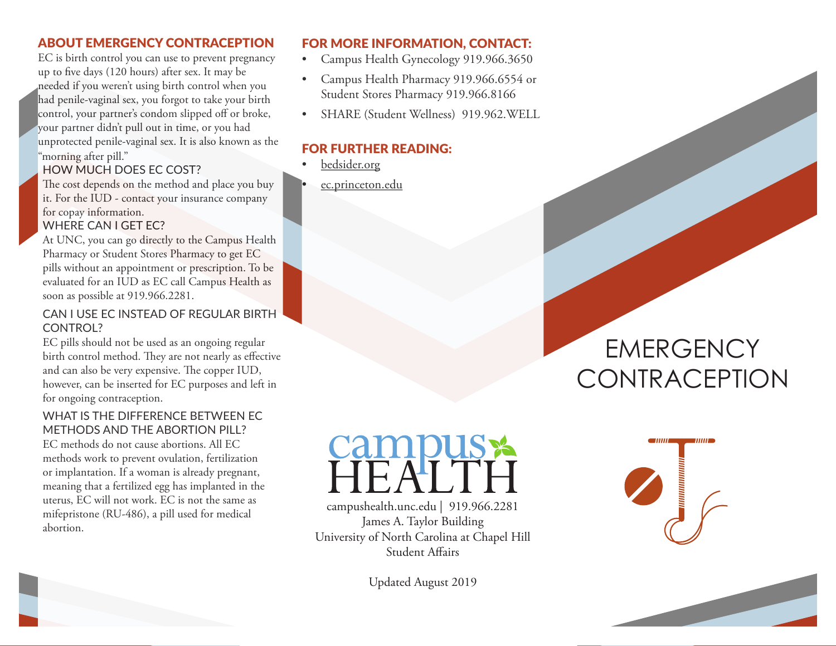## ABOUT EMERGENCY CONTRACEPTION

EC is birth control you can use to prevent pregnancy up to five days (120 hours) after sex. It may be needed if you weren't using birth control when you had penile-vaginal sex, you forgot to take your birth control, your partner's condom slipped off or broke, your partner didn't pull out in time, or you had unprotected penile-vaginal sex. It is also known as the "morning after pill."

# HOW MUCH DOES EC COST?

The cost depends on the method and place you buy it. For the IUD - contact your insurance company for copay information. WHERE CAN I GET EC?

At UNC, you can go directly to the Campus Health Pharmacy or Student Stores Pharmacy to get EC pills without an appointment or prescription. To be evaluated for an IUD as EC call Campus Health as soon as possible at 919.966.2281.

### CAN I USE EC INSTEAD OF REGULAR BIRTH CONTROL?

EC pills should not be used as an ongoing regular birth control method. They are not nearly as effective and can also be very expensive. The copper IUD, however, can be inserted for EC purposes and left in for ongoing contraception.

### WHAT IS THE DIFFERENCE BETWEEN EC METHODS AND THE ABORTION PILL?

EC methods do not cause abortions. All EC methods work to prevent ovulation, fertilization or implantation. If a woman is already pregnant, meaning that a fertilized egg has implanted in the uterus, EC will not work. EC is not the same as mifepristone (RU-486), a pill used for medical abortion.

# FOR MORE INFORMATION, CONTACT:

- Campus Health Gynecology 919.966.3650
- Campus Health Pharmacy 919.966.6554 or Student Stores Pharmacy 919.966.8166
- SHARE (Student Wellness) 919.962.WELL

# FOR FURTHER READING:

- bedsider.org
- ec.princeton.edu

# **EMERGENCY CONTRACEPTION**



campushealth.unc.edu | 919.966.2281 James A. Taylor Building University of North Carolina at Chapel Hill Student Affairs

Updated August 2019